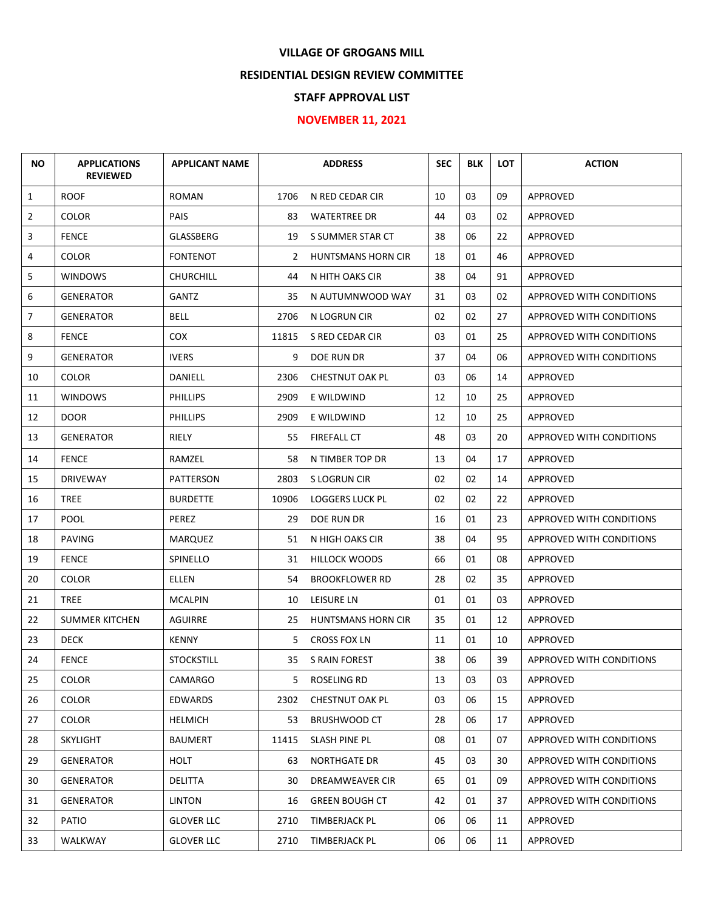## **VILLAGE OF GROGANS MILL**

## **RESIDENTIAL DESIGN REVIEW COMMITTEE**

## **STAFF APPROVAL LIST**

## **NOVEMBER 11, 2021**

| <b>NO</b>      | <b>APPLICATIONS</b><br><b>REVIEWED</b> | <b>APPLICANT NAME</b> |       | <b>ADDRESS</b>            | <b>SEC</b> | <b>BLK</b> | <b>LOT</b> | <b>ACTION</b>                   |
|----------------|----------------------------------------|-----------------------|-------|---------------------------|------------|------------|------------|---------------------------------|
| $\mathbf{1}$   | <b>ROOF</b>                            | <b>ROMAN</b>          | 1706  | N RED CEDAR CIR           | 10         | 03         | 09         | APPROVED                        |
| $\overline{2}$ | <b>COLOR</b>                           | <b>PAIS</b>           | 83    | <b>WATERTREE DR</b>       | 44         | 03         | 02         | APPROVED                        |
| 3              | <b>FENCE</b>                           | GLASSBERG             | 19    | S SUMMER STAR CT          | 38         | 06         | 22         | APPROVED                        |
| 4              | <b>COLOR</b>                           | <b>FONTENOT</b>       | 2     | HUNTSMANS HORN CIR        | 18         | 01         | 46         | APPROVED                        |
| 5              | <b>WINDOWS</b>                         | <b>CHURCHILL</b>      | 44    | N HITH OAKS CIR           | 38         | 04         | 91         | APPROVED                        |
| 6              | GENERATOR                              | GANTZ                 | 35    | N AUTUMNWOOD WAY          | 31         | 03         | 02         | APPROVED WITH CONDITIONS        |
| 7              | <b>GENERATOR</b>                       | <b>BELL</b>           | 2706  | N LOGRUN CIR              | 02         | 02         | 27         | APPROVED WITH CONDITIONS        |
| 8              | <b>FENCE</b>                           | <b>COX</b>            | 11815 | S RED CEDAR CIR           | 03         | 01         | 25         | APPROVED WITH CONDITIONS        |
| 9              | <b>GENERATOR</b>                       | <b>IVERS</b>          | 9     | DOE RUN DR                | 37         | 04         | 06         | APPROVED WITH CONDITIONS        |
| 10             | <b>COLOR</b>                           | DANIELL               | 2306  | <b>CHESTNUT OAK PL</b>    | 03         | 06         | 14         | <b>APPROVED</b>                 |
| 11             | <b>WINDOWS</b>                         | <b>PHILLIPS</b>       | 2909  | E WILDWIND                | 12         | 10         | 25         | APPROVED                        |
| 12             | <b>DOOR</b>                            | <b>PHILLIPS</b>       | 2909  | E WILDWIND                | 12         | 10         | 25         | APPROVED                        |
| 13             | <b>GENERATOR</b>                       | RIELY                 | 55    | FIREFALL CT               | 48         | 03         | 20         | APPROVED WITH CONDITIONS        |
| 14             | <b>FENCE</b>                           | RAMZEL                | 58    | N TIMBER TOP DR           | 13         | 04         | 17         | APPROVED                        |
| 15             | <b>DRIVEWAY</b>                        | PATTERSON             | 2803  | S LOGRUN CIR              | 02         | 02         | 14         | APPROVED                        |
| 16             | <b>TREE</b>                            | <b>BURDETTE</b>       | 10906 | <b>LOGGERS LUCK PL</b>    | 02         | 02         | 22         | APPROVED                        |
| 17             | <b>POOL</b>                            | PEREZ                 | 29    | DOE RUN DR                | 16         | 01         | 23         | APPROVED WITH CONDITIONS        |
| 18             | <b>PAVING</b>                          | MARQUEZ               | 51    | N HIGH OAKS CIR           | 38         | 04         | 95         | APPROVED WITH CONDITIONS        |
| 19             | <b>FENCE</b>                           | SPINELLO              | 31    | <b>HILLOCK WOODS</b>      | 66         | 01         | 08         | <b>APPROVED</b>                 |
| 20             | <b>COLOR</b>                           | ELLEN                 | 54    | <b>BROOKFLOWER RD</b>     | 28         | 02         | 35         | APPROVED                        |
| 21             | <b>TREE</b>                            | <b>MCALPIN</b>        | 10    | <b>LEISURE LN</b>         | 01         | 01         | 03         | APPROVED                        |
| 22             | <b>SUMMER KITCHEN</b>                  | AGUIRRE               | 25    | <b>HUNTSMANS HORN CIR</b> | 35         | 01         | 12         | APPROVED                        |
| 23             | <b>DECK</b>                            | <b>KENNY</b>          | 5     | <b>CROSS FOX LN</b>       | 11         | 01         | 10         | APPROVED                        |
| 24             | <b>FENCE</b>                           | <b>STOCKSTILL</b>     |       | 35 S RAIN FOREST          | 38         | 06         | 39         | <b>APPROVED WITH CONDITIONS</b> |
| 25             | <b>COLOR</b>                           | CAMARGO               | 5.    | ROSELING RD               | 13         | 03         | 03         | APPROVED                        |
| 26             | <b>COLOR</b>                           | EDWARDS               | 2302  | CHESTNUT OAK PL           | 03         | 06         | 15         | <b>APPROVED</b>                 |
| 27             | COLOR                                  | <b>HELMICH</b>        | 53    | <b>BRUSHWOOD CT</b>       | 28         | 06         | 17         | APPROVED                        |
| 28             | <b>SKYLIGHT</b>                        | <b>BAUMERT</b>        | 11415 | SLASH PINE PL             | 08         | 01         | 07         | APPROVED WITH CONDITIONS        |
| 29             | GENERATOR                              | HOLT                  | 63    | NORTHGATE DR              | 45         | 03         | 30         | APPROVED WITH CONDITIONS        |
| 30             | <b>GENERATOR</b>                       | <b>DELITTA</b>        | 30    | DREAMWEAVER CIR           | 65         | 01         | 09         | APPROVED WITH CONDITIONS        |
| 31             | <b>GENERATOR</b>                       | <b>LINTON</b>         | 16    | <b>GREEN BOUGH CT</b>     | 42         | 01         | 37         | APPROVED WITH CONDITIONS        |
| 32             | PATIO                                  | <b>GLOVER LLC</b>     | 2710  | TIMBERJACK PL             | 06         | 06         | 11         | APPROVED                        |
| 33             | WALKWAY                                | <b>GLOVER LLC</b>     | 2710  | <b>TIMBERJACK PL</b>      | 06         | 06         | 11         | APPROVED                        |